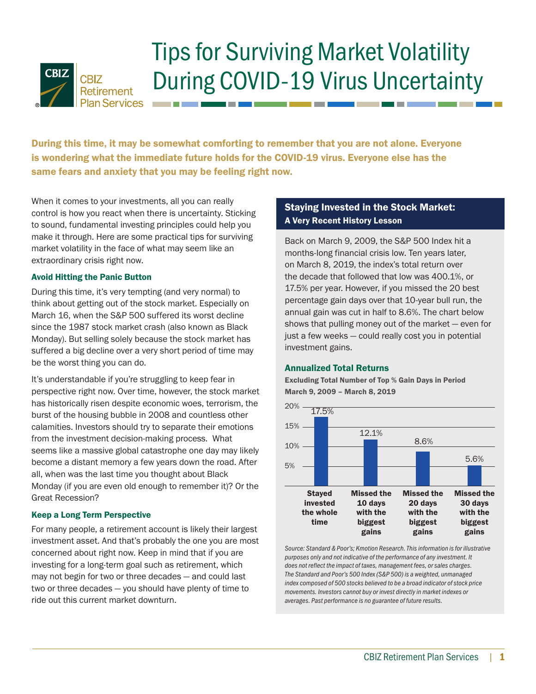

# Tips for Surviving Market Volatility During COVID-19 Virus Uncertainty

During this time, it may be somewhat comforting to remember that you are not alone. Everyone is wondering what the immediate future holds for the COVID-19 virus. Everyone else has the same fears and anxiety that you may be feeling right now.

When it comes to your investments, all you can really control is how you react when there is uncertainty. Sticking to sound, fundamental investing principles could help you make it through. Here are some practical tips for surviving market volatility in the face of what may seem like an extraordinary crisis right now.

# Avoid Hitting the Panic Button

During this time, it's very tempting (and very normal) to think about getting out of the stock market. Especially on March 16, when the S&P 500 suffered its worst decline since the 1987 stock market crash (also known as Black Monday). But selling solely because the stock market has suffered a big decline over a very short period of time may be the worst thing you can do.

It's understandable if you're struggling to keep fear in perspective right now. Over time, however, the stock market has historically risen despite economic woes, terrorism, the burst of the housing bubble in 2008 and countless other calamities. Investors should try to separate their emotions from the investment decision-making process. What seems like a massive global catastrophe one day may likely become a distant memory a few years down the road. After all, when was the last time you thought about Black Monday (if you are even old enough to remember it)? Or the Great Recession?

## Keep a Long Term Perspective

For many people, a retirement account is likely their largest investment asset. And that's probably the one you are most concerned about right now. Keep in mind that if you are investing for a long-term goal such as retirement, which may not begin for two or three decades — and could last two or three decades — you should have plenty of time to ride out this current market downturn.

# Staying Invested in the Stock Market: A Very Recent History Lesson

Back on March 9, 2009, the S&P 500 Index hit a months-long financial crisis low. Ten years later, on March 8, 2019, the index's total return over the decade that followed that low was 400.1%, or 17.5% per year. However, if you missed the 20 best percentage gain days over that 10-year bull run, the annual gain was cut in half to 8.6%. The chart below shows that pulling money out of the market — even for just a few weeks — could really cost you in potential investment gains.

## Annualized Total Returns

Excluding Total Number of Top % Gain Days in Period March 9, 2009 – March 8, 2019



*Source: Standard & Poor's; Kmotion Research. This information is for illustrative purposes only and not indicative of the performance of any investment. It does not reflect the impact of taxes, management fees, or sales charges. The Standard and Poor's 500 Index (S&P 500) is a weighted, unmanaged index composed of 500 stocks believed to be a broad indicator of stock price movements. Investors cannot buy or invest directly in market indexes or averages. Past performance is no guarantee of future results.*